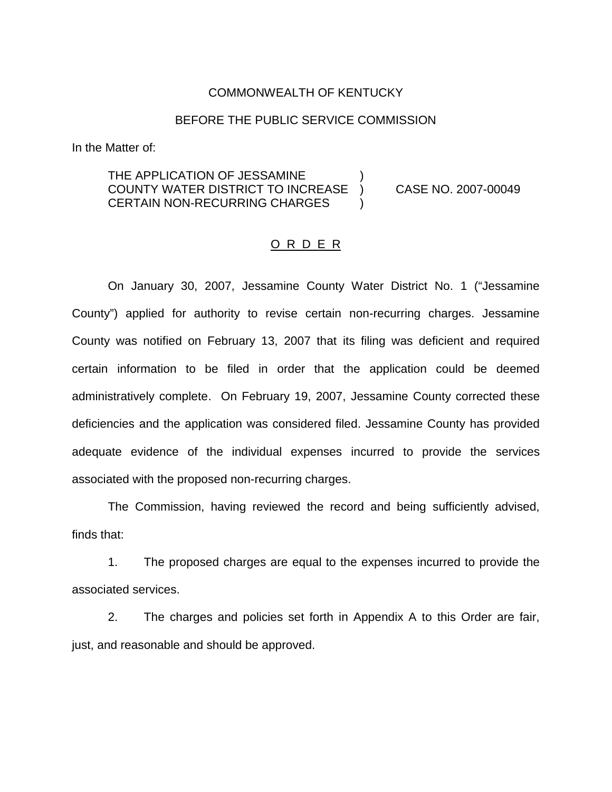#### COMMONWEALTH OF KENTUCKY

#### BEFORE THE PUBLIC SERVICE COMMISSION

In the Matter of:

## THE APPLICATION OF JESSAMINE COUNTY WATER DISTRICT TO INCREASE ) CASE NO. 2007-00049 CERTAIN NON-RECURRING CHARGES

#### O R D E R

On January 30, 2007, Jessamine County Water District No. 1 ("Jessamine County") applied for authority to revise certain non-recurring charges. Jessamine County was notified on February 13, 2007 that its filing was deficient and required certain information to be filed in order that the application could be deemed administratively complete. On February 19, 2007, Jessamine County corrected these deficiencies and the application was considered filed. Jessamine County has provided adequate evidence of the individual expenses incurred to provide the services associated with the proposed non-recurring charges.

The Commission, having reviewed the record and being sufficiently advised, finds that:

1. The proposed charges are equal to the expenses incurred to provide the associated services.

2. The charges and policies set forth in Appendix A to this Order are fair, just, and reasonable and should be approved.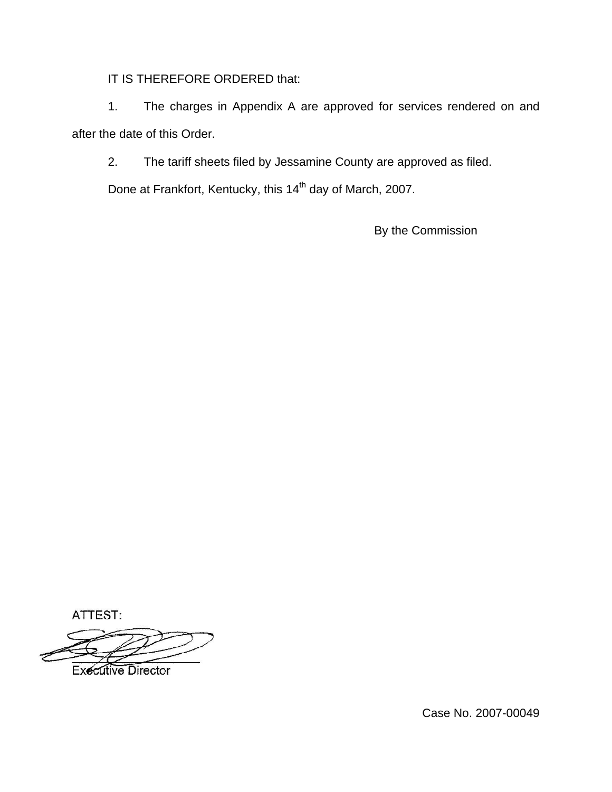IT IS THEREFORE ORDERED that:

1. The charges in Appendix A are approved for services rendered on and after the date of this Order.

2. The tariff sheets filed by Jessamine County are approved as filed.

Done at Frankfort, Kentucky, this 14<sup>th</sup> day of March, 2007.

By the Commission

ATTEST:

**Executive Director** 

Case No. 2007-00049